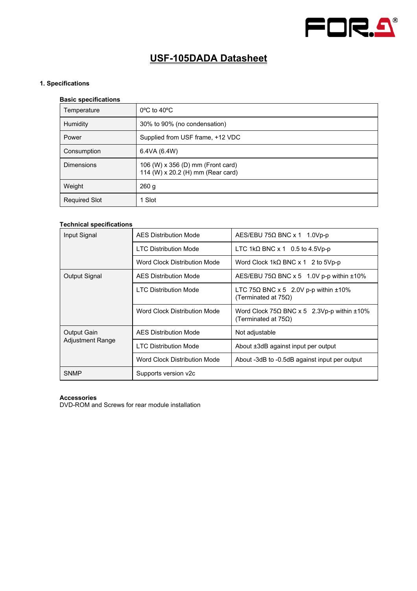

# **USF-105DADA Datasheet**

## **1. Specifications**

## **Basic specifications**

| <br>Temperature      | $0^{\circ}$ C to 40 $^{\circ}$ C                                       |  |
|----------------------|------------------------------------------------------------------------|--|
| Humidity             | 30% to 90% (no condensation)                                           |  |
| Power                | Supplied from USF frame, +12 VDC                                       |  |
| Consumption          | 6.4VA (6.4W)                                                           |  |
| <b>Dimensions</b>    | 106 (W) x 356 (D) mm (Front card)<br>114 (W) x 20.2 (H) mm (Rear card) |  |
| Weight               | 260 g                                                                  |  |
| <b>Required Slot</b> | 1 Slot                                                                 |  |

#### **Technical specifications**

| Input Signal                           | <b>AES Distribution Mode</b>  | $AES/EBU 75\Omega BNC \times 1$ 1.0Vp-p                                                |
|----------------------------------------|-------------------------------|----------------------------------------------------------------------------------------|
|                                        | <b>I TC Distribution Mode</b> | LTC 1kQ BNC $x$ 1 0.5 to 4.5Vp-p                                                       |
|                                        | Word Clock Distribution Mode  | Word Clock 1kΩ BNC x 1 2 to 5Vp-p                                                      |
| Output Signal                          | <b>AES Distribution Mode</b>  | $AES/EBU$ 75 $\Omega$ BNC x 5 1.0V p-p within $\pm 10\%$                               |
|                                        | <b>I TC Distribution Mode</b> | LTC 75 $\Omega$ BNC x 5 2.0V p-p within $\pm 10\%$<br>(Terminated at $75\Omega$ )      |
|                                        | Word Clock Distribution Mode  | Word Clock $75\Omega$ BNC x 5 2.3Vp-p within $\pm 10\%$<br>(Terminated at $75\Omega$ ) |
| Output Gain<br><b>Adjustment Range</b> | <b>AFS Distribution Mode</b>  | Not adjustable                                                                         |
|                                        | <b>I TC Distribution Mode</b> | About ±3dB against input per output                                                    |
|                                        | Word Clock Distribution Mode  | About -3dB to -0.5dB against input per output                                          |
| <b>SNMP</b>                            | Supports version v2c          |                                                                                        |

### **Accessories**

DVD-ROM and Screws for rear module installation